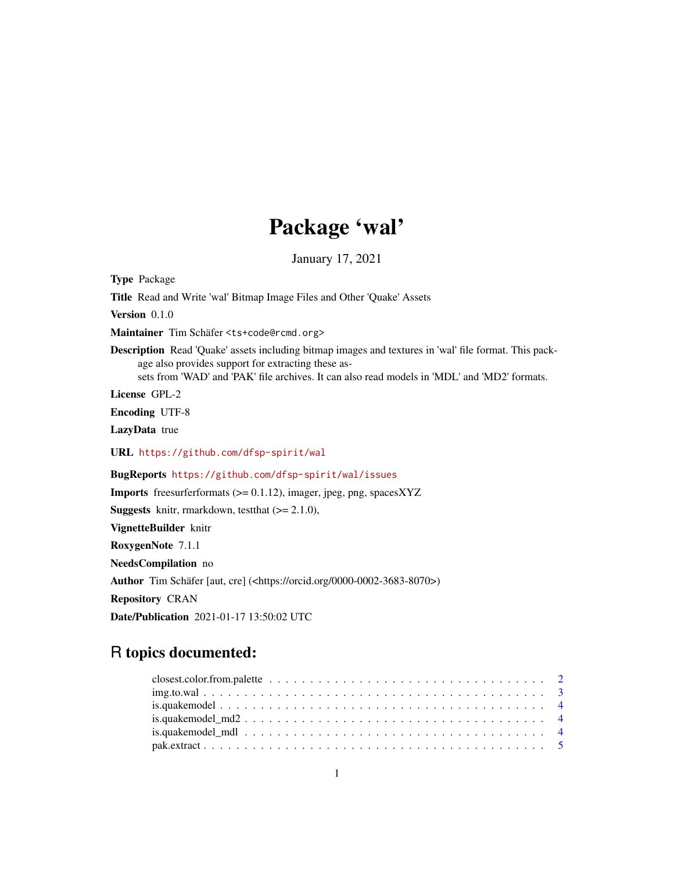## Package 'wal'

January 17, 2021

Type Package

Title Read and Write 'wal' Bitmap Image Files and Other 'Quake' Assets

Version 0.1.0

Maintainer Tim Schäfer <ts+code@rcmd.org>

Description Read 'Quake' assets including bitmap images and textures in 'wal' file format. This package also provides support for extracting these assets from 'WAD' and 'PAK' file archives. It can also read models in 'MDL' and 'MD2' formats.

License GPL-2

Encoding UTF-8

LazyData true

URL <https://github.com/dfsp-spirit/wal>

BugReports <https://github.com/dfsp-spirit/wal/issues>

Imports freesurferformats (>= 0.1.12), imager, jpeg, png, spacesXYZ

**Suggests** knitr, rmarkdown, test that  $(>= 2.1.0)$ ,

VignetteBuilder knitr

RoxygenNote 7.1.1

NeedsCompilation no

Author Tim Schäfer [aut, cre] (<https://orcid.org/0000-0002-3683-8070>)

Repository CRAN

Date/Publication 2021-01-17 13:50:02 UTC

## R topics documented:

| closest.color.from.palette $\ldots \ldots \ldots \ldots \ldots \ldots \ldots \ldots \ldots \ldots \ldots \ldots 2$ |  |
|--------------------------------------------------------------------------------------------------------------------|--|
|                                                                                                                    |  |
|                                                                                                                    |  |
|                                                                                                                    |  |
|                                                                                                                    |  |
|                                                                                                                    |  |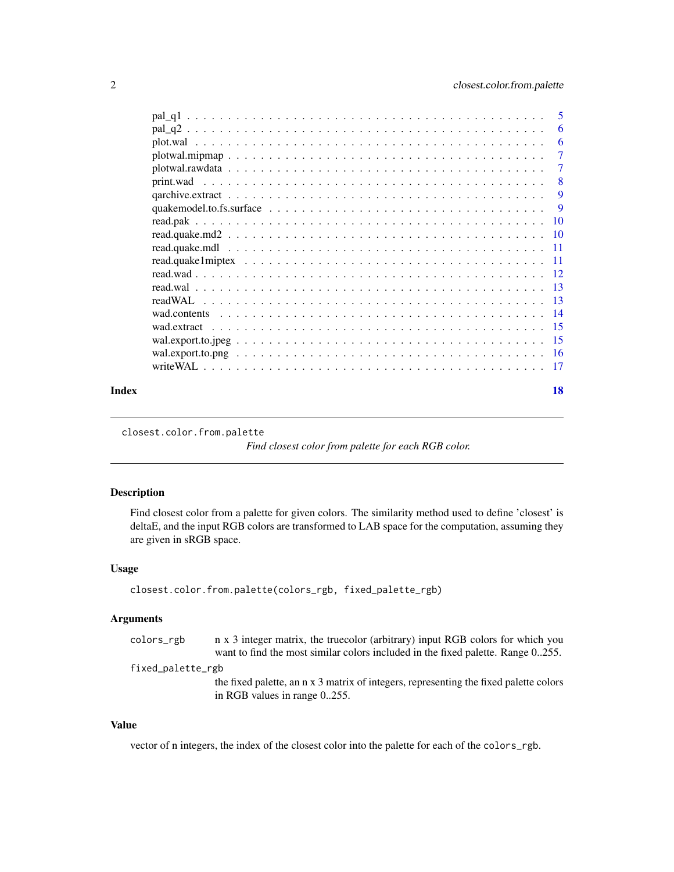<span id="page-1-0"></span>

|       |                                                                                                                 | -6             |
|-------|-----------------------------------------------------------------------------------------------------------------|----------------|
|       |                                                                                                                 | -6             |
|       |                                                                                                                 | $\overline{7}$ |
|       |                                                                                                                 | $\overline{7}$ |
|       |                                                                                                                 | - 8            |
|       |                                                                                                                 | 9              |
|       | quake model.to.fs.surface $\ldots \ldots \ldots \ldots \ldots \ldots \ldots \ldots \ldots \ldots \ldots \ldots$ | -9             |
|       |                                                                                                                 |                |
|       |                                                                                                                 |                |
|       |                                                                                                                 |                |
|       |                                                                                                                 |                |
|       |                                                                                                                 |                |
|       |                                                                                                                 |                |
|       |                                                                                                                 |                |
|       |                                                                                                                 |                |
|       |                                                                                                                 |                |
|       |                                                                                                                 |                |
|       |                                                                                                                 |                |
|       |                                                                                                                 |                |
| Index |                                                                                                                 | 18             |

closest.color.from.palette

*Find closest color from palette for each RGB color.*

### Description

Find closest color from a palette for given colors. The similarity method used to define 'closest' is deltaE, and the input RGB colors are transformed to LAB space for the computation, assuming they are given in sRGB space.

### Usage

```
closest.color.from.palette(colors_rgb, fixed_palette_rgb)
```
#### Arguments

colors\_rgb n x 3 integer matrix, the truecolor (arbitrary) input RGB colors for which you want to find the most similar colors included in the fixed palette. Range 0..255. fixed\_palette\_rgb

> the fixed palette, an n x 3 matrix of integers, representing the fixed palette colors in RGB values in range 0..255.

### Value

vector of n integers, the index of the closest color into the palette for each of the colors\_rgb.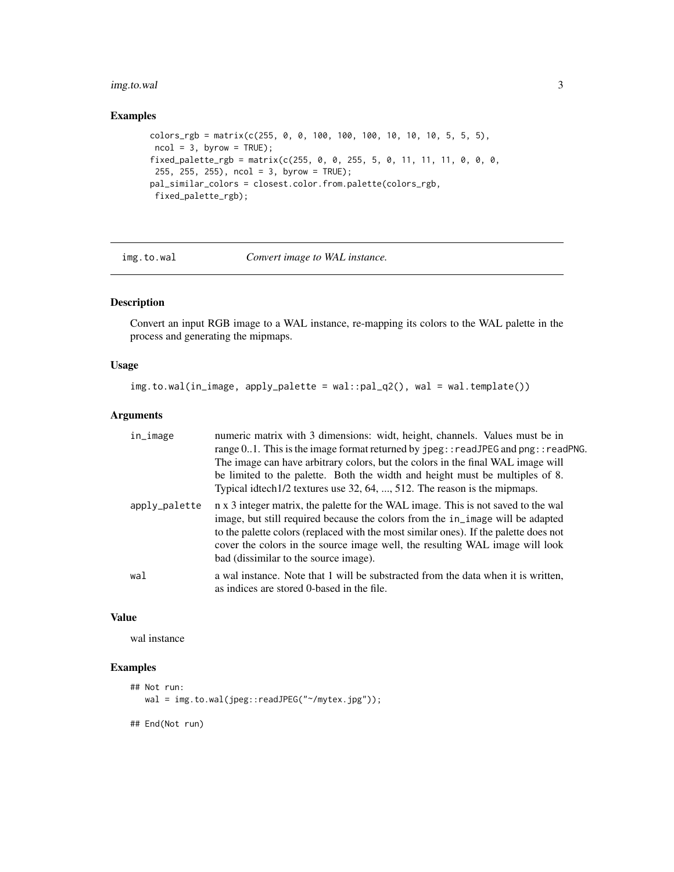### <span id="page-2-0"></span>img.to.wal 3

### Examples

```
colors_rgb = matrix(c(255, 0, 0, 100, 100, 100, 10, 10, 10, 5, 5, 5),ncol = 3, byrow = TRUE);
fixed_palette_rgb = matrix(c(255, 0, 0, 255, 5, 0, 11, 11, 11, 0, 0, 0,
255, 255, 255), ncol = 3, byrow = TRUE);
pal_similar_colors = closest.color.from.palette(colors_rgb,
 fixed_palette_rgb);
```
### img.to.wal *Convert image to WAL instance.*

### Description

Convert an input RGB image to a WAL instance, re-mapping its colors to the WAL palette in the process and generating the mipmaps.

#### Usage

```
img.to.wal(in_image, apply_palette = wal::pal_q2(), wal = wal.template())
```
#### Arguments

| in_image      | numeric matrix with 3 dimensions: widt, height, channels. Values must be in<br>range $0.1$ . This is the image format returned by $\text{jpeg}$ : readJPEG and $\text{png}:$ readPNG.<br>The image can have arbitrary colors, but the colors in the final WAL image will<br>be limited to the palette. Both the width and height must be multiples of 8.<br>Typical idtech1/2 textures use 32, 64, , 512. The reason is the mipmaps. |
|---------------|--------------------------------------------------------------------------------------------------------------------------------------------------------------------------------------------------------------------------------------------------------------------------------------------------------------------------------------------------------------------------------------------------------------------------------------|
| apply_palette | n x 3 integer matrix, the palette for the WAL image. This is not saved to the wal<br>image, but still required because the colors from the in_image will be adapted<br>to the palette colors (replaced with the most similar ones). If the palette does not<br>cover the colors in the source image well, the resulting WAL image will look<br>bad (dissimilar to the source image).                                                 |
| wal           | a wal instance. Note that 1 will be substracted from the data when it is written,<br>as indices are stored 0-based in the file.                                                                                                                                                                                                                                                                                                      |

### Value

wal instance

### Examples

```
## Not run:
  wal = img.to.wal(jpeg::readJPEG("~/mytex.jpg"));
## End(Not run)
```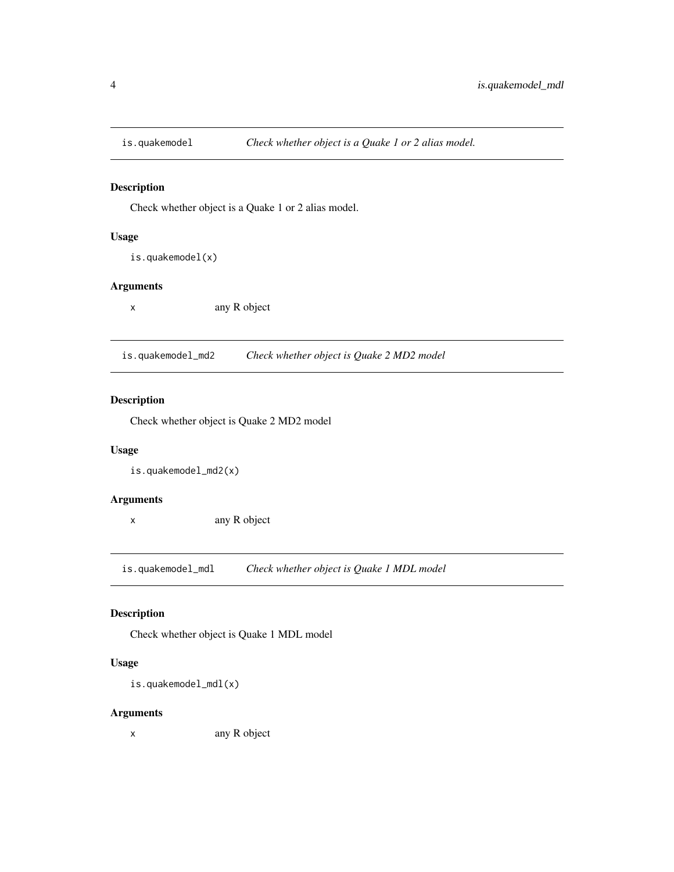<span id="page-3-0"></span>

Check whether object is a Quake 1 or 2 alias model.

### Usage

is.quakemodel(x)

### Arguments

x any R object

is.quakemodel\_md2 *Check whether object is Quake 2 MD2 model*

### Description

Check whether object is Quake 2 MD2 model

### Usage

is.quakemodel\_md2(x)

### Arguments

x any R object

is.quakemodel\_mdl *Check whether object is Quake 1 MDL model*

### Description

Check whether object is Quake 1 MDL model

### Usage

is.quakemodel\_mdl(x)

### Arguments

x any R object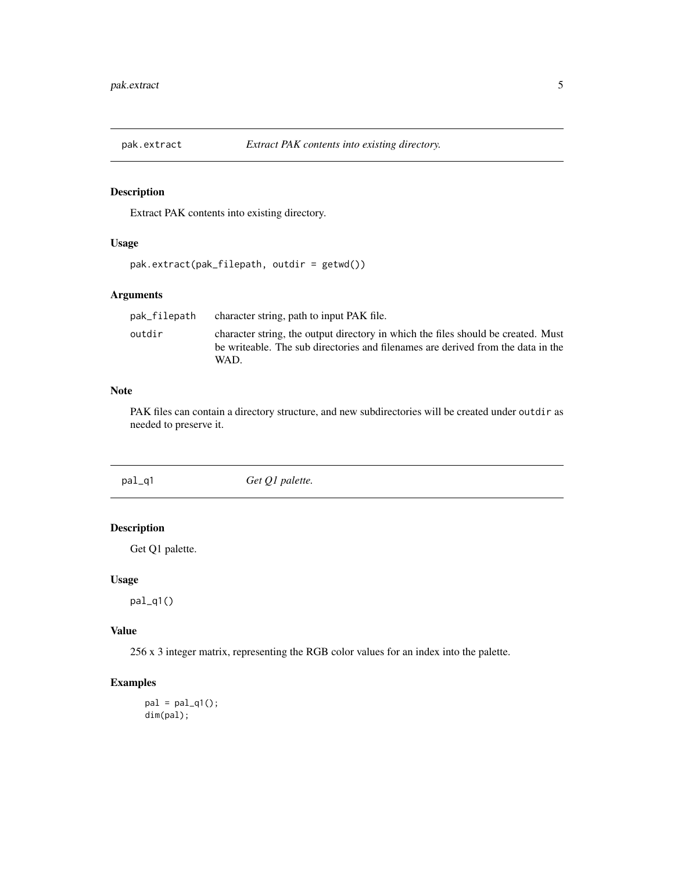<span id="page-4-0"></span>

Extract PAK contents into existing directory.

### Usage

```
pak.extract(pak_filepath, outdir = getwd())
```
### Arguments

| pak_filepath | character string, path to input PAK file.                                                                                                                                     |
|--------------|-------------------------------------------------------------------------------------------------------------------------------------------------------------------------------|
| outdir       | character string, the output directory in which the files should be created. Must<br>be writeable. The sub directories and filenames are derived from the data in the<br>WAD. |
|              |                                                                                                                                                                               |

### Note

PAK files can contain a directory structure, and new subdirectories will be created under outdir as needed to preserve it.

pal\_q1 *Get Q1 palette.*

### Description

Get Q1 palette.

### Usage

pal\_q1()

### Value

256 x 3 integer matrix, representing the RGB color values for an index into the palette.

### Examples

 $pal = pal_q1()$ ; dim(pal);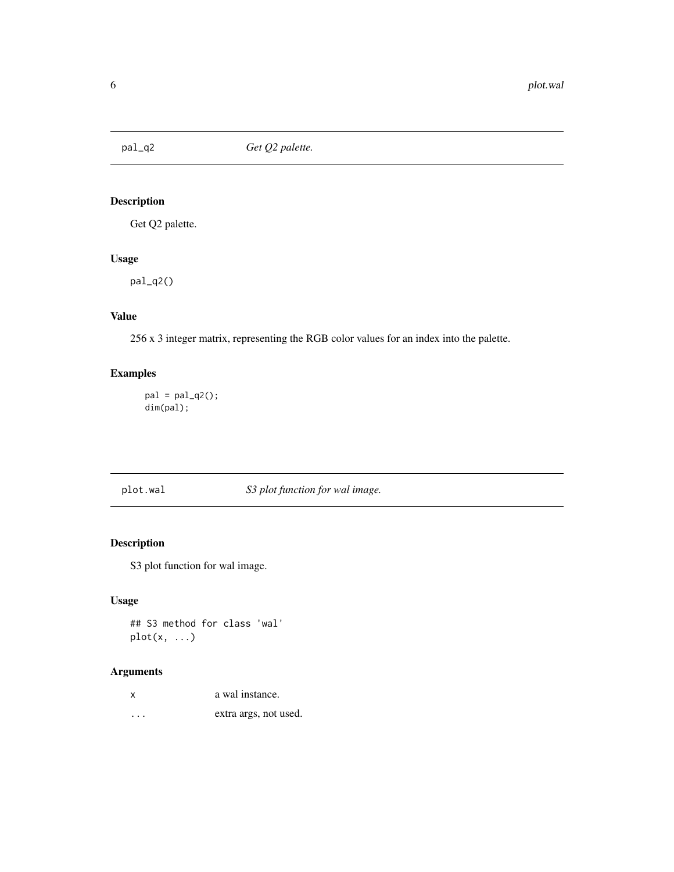<span id="page-5-0"></span>

Get Q2 palette.

### Usage

pal\_q2()

### Value

256 x 3 integer matrix, representing the RGB color values for an index into the palette.

### Examples

 $pal = pal_q2()$ ; dim(pal);

plot.wal *S3 plot function for wal image.*

### Description

S3 plot function for wal image.

### Usage

## S3 method for class 'wal'  $plot(x, \ldots)$ 

| X       | a wal instance.       |
|---------|-----------------------|
| $\cdot$ | extra args, not used. |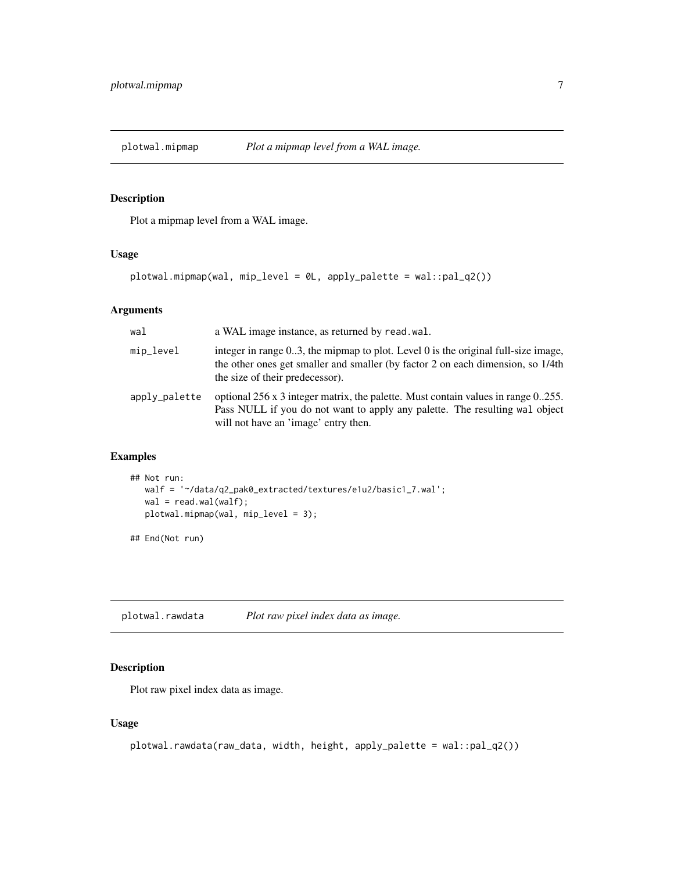<span id="page-6-0"></span>

Plot a mipmap level from a WAL image.

### Usage

```
plotwal.mipmap(wal, mip_level = 0L, apply_palette = wal::pal_q2())
```
### Arguments

| wal           | a WAL image instance, as returned by read. wal.                                                                                                                                                          |
|---------------|----------------------------------------------------------------------------------------------------------------------------------------------------------------------------------------------------------|
| mip_level     | integer in range 03, the mipmap to plot. Level 0 is the original full-size image,<br>the other ones get smaller and smaller (by factor 2 on each dimension, so 1/4th<br>the size of their predecessor).  |
| apply_palette | optional 256 x 3 integer matrix, the palette. Must contain values in range 0.255.<br>Pass NULL if you do not want to apply any palette. The resulting wal object<br>will not have an 'image' entry then. |

### Examples

```
## Not run:
  walf = '~/data/q2_pak0_extracted/textures/e1u2/basic1_7.wal';
  wal = read.walk(walf);plotwal.mipmap(wal, mip_level = 3);
```
## End(Not run)

plotwal.rawdata *Plot raw pixel index data as image.*

### Description

Plot raw pixel index data as image.

### Usage

```
plotwal.rawdata(raw_data, width, height, apply_palette = wal::pal_q2())
```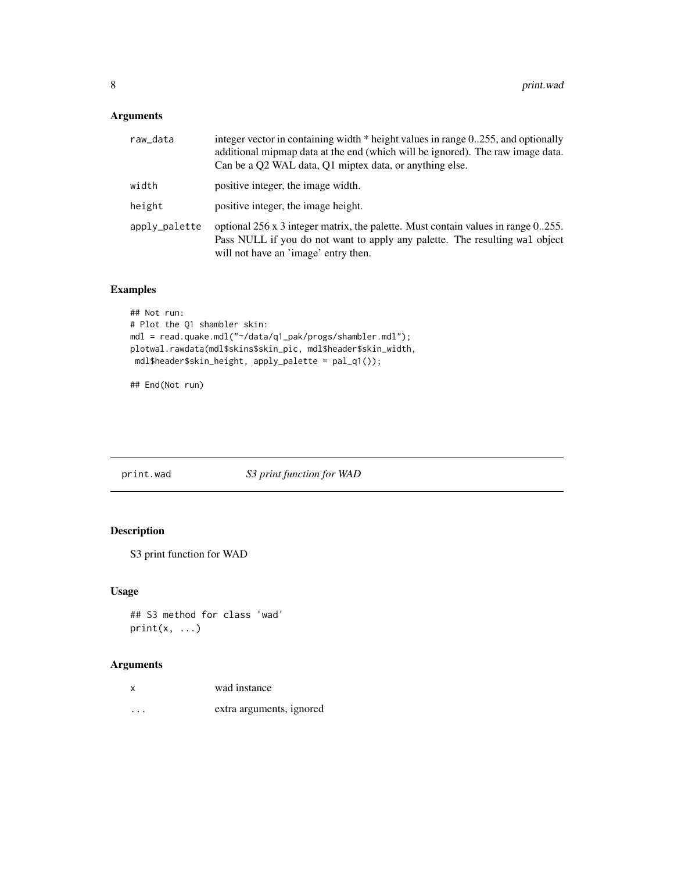### <span id="page-7-0"></span>Arguments

| raw_data      | integer vector in containing width * height values in range 0.255, and optionally<br>additional mipmap data at the end (which will be ignored). The raw image data.<br>Can be a Q2 WAL data, Q1 miptex data, or anything else. |
|---------------|--------------------------------------------------------------------------------------------------------------------------------------------------------------------------------------------------------------------------------|
| width         | positive integer, the image width.                                                                                                                                                                                             |
| height        | positive integer, the image height.                                                                                                                                                                                            |
| apply_palette | optional 256 x 3 integer matrix, the palette. Must contain values in range 0.255.<br>Pass NULL if you do not want to apply any palette. The resulting wal object<br>will not have an 'image' entry then.                       |

### Examples

```
## Not run:
# Plot the Q1 shambler skin:
mdl = read.quake.mdl("~/data/q1_pak/progs/shambler.mdl");
plotwal.rawdata(mdl$skins$skin_pic, mdl$header$skin_width,
mdl$header$skin_height, apply_palette = pal_q1());
```
## End(Not run)

print.wad *S3 print function for WAD*

### Description

S3 print function for WAD

### Usage

## S3 method for class 'wad'  $print(x, \ldots)$ 

| x                       | wad instance             |
|-------------------------|--------------------------|
| $\cdot$ $\cdot$ $\cdot$ | extra arguments, ignored |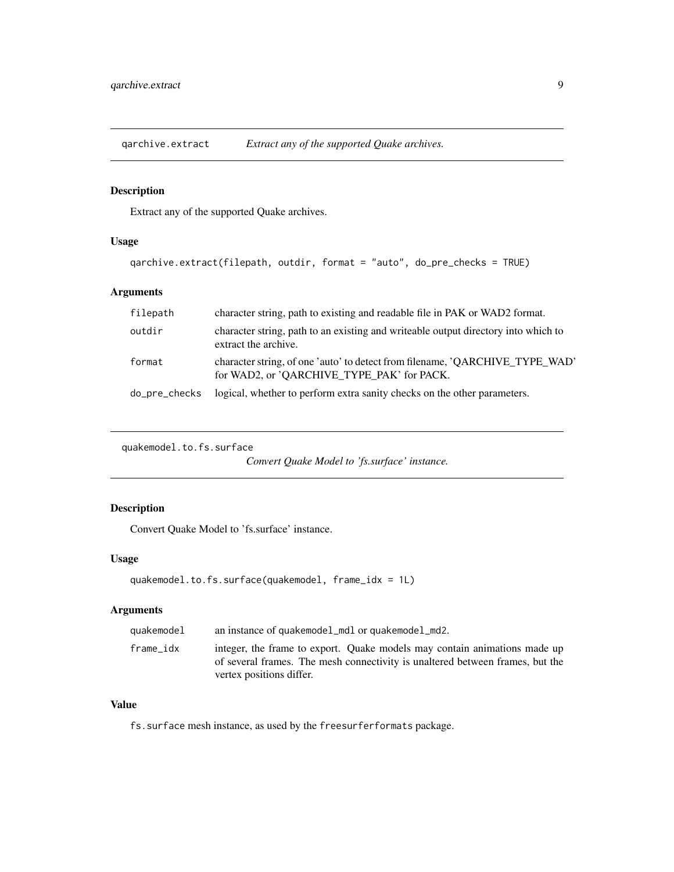<span id="page-8-0"></span>qarchive.extract *Extract any of the supported Quake archives.*

### Description

Extract any of the supported Quake archives.

### Usage

```
qarchive.extract(filepath, outdir, format = "auto", do_pre_checks = TRUE)
```
### Arguments

| filepath      | character string, path to existing and readable file in PAK or WAD2 format.                                                |
|---------------|----------------------------------------------------------------------------------------------------------------------------|
| outdir        | character string, path to an existing and writeable output directory into which to<br>extract the archive.                 |
| format        | character string, of one 'auto' to detect from filename, 'QARCHIVE_TYPE_WAD'<br>for WAD2, or 'QARCHIVE_TYPE_PAK' for PACK. |
| do_pre_checks | logical, whether to perform extra sanity checks on the other parameters.                                                   |

```
quakemodel.to.fs.surface
```
*Convert Quake Model to 'fs.surface' instance.*

### Description

Convert Quake Model to 'fs.surface' instance.

### Usage

```
quakemodel.to.fs.surface(quakemodel, frame_idx = 1L)
```
### Arguments

| quakemodel | an instance of quakemodel_mdl or quakemodel_md2.                                                                                                                                       |
|------------|----------------------------------------------------------------------------------------------------------------------------------------------------------------------------------------|
| frame idx  | integer, the frame to export. Quake models may contain animations made up<br>of several frames. The mesh connectivity is unaltered between frames, but the<br>vertex positions differ. |

### Value

fs.surface mesh instance, as used by the freesurferformats package.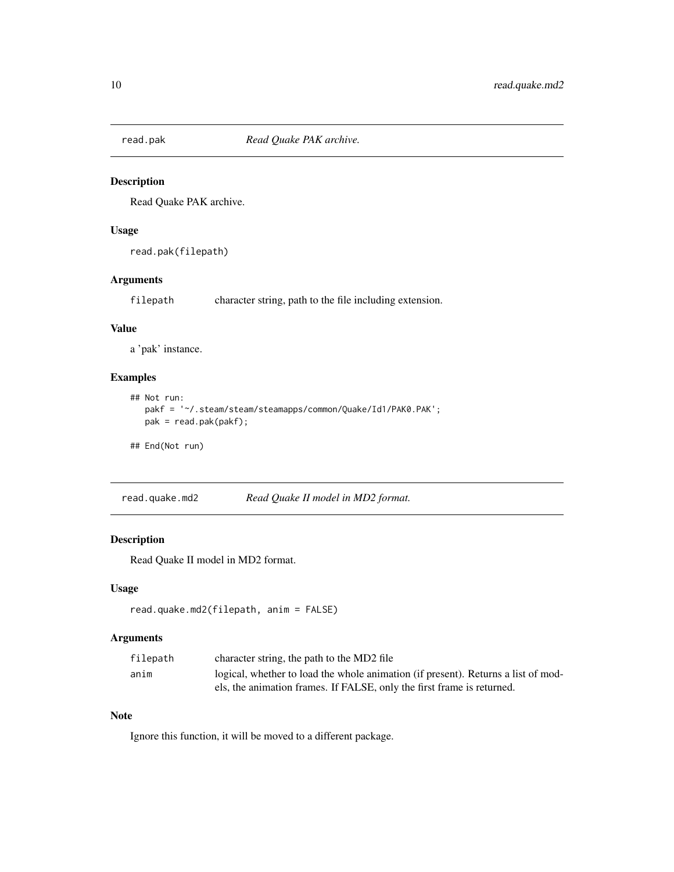<span id="page-9-0"></span>

Read Quake PAK archive.

### Usage

```
read.pak(filepath)
```
### Arguments

filepath character string, path to the file including extension.

#### Value

a 'pak' instance.

### Examples

```
## Not run:
  pakf = '~/.steam/steam/steamapps/common/Quake/Id1/PAK0.PAK';
  pak = read.pak(pakf);
```
## End(Not run)

read.quake.md2 *Read Quake II model in MD2 format.*

### Description

Read Quake II model in MD2 format.

### Usage

```
read.quake.md2(filepath, anim = FALSE)
```
### Arguments

| filepath | character string, the path to the MD2 file                                        |
|----------|-----------------------------------------------------------------------------------|
| anim     | logical, whether to load the whole animation (if present). Returns a list of mod- |
|          | els, the animation frames. If FALSE, only the first frame is returned.            |

### Note

Ignore this function, it will be moved to a different package.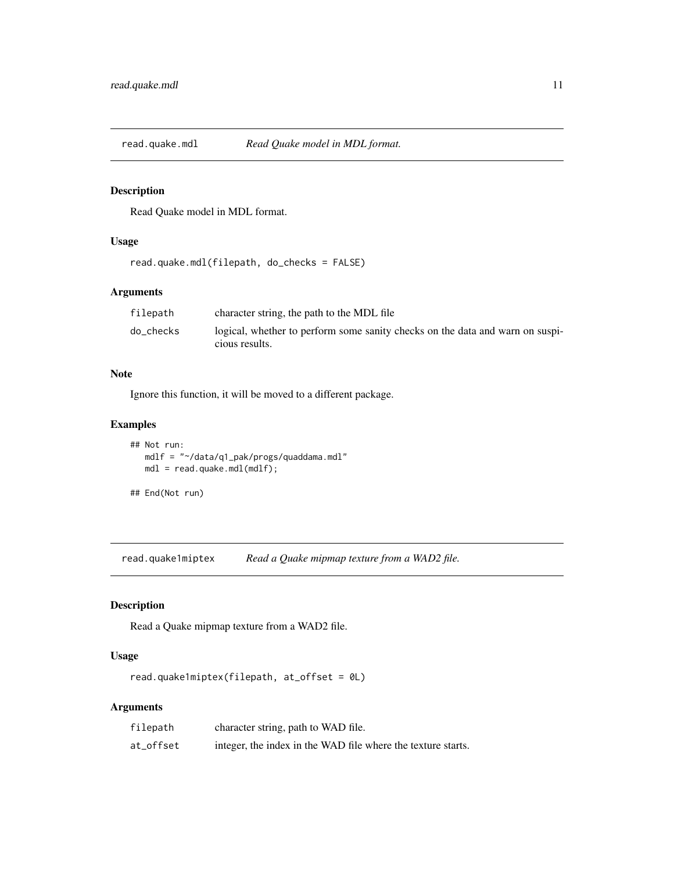<span id="page-10-0"></span>

Read Quake model in MDL format.

### Usage

```
read.quake.mdl(filepath, do_checks = FALSE)
```
### Arguments

| filepath  | character string, the path to the MDL file                                    |
|-----------|-------------------------------------------------------------------------------|
| do_checks | logical, whether to perform some sanity checks on the data and warn on suspi- |
|           | cious results.                                                                |

#### Note

Ignore this function, it will be moved to a different package.

### Examples

```
## Not run:
  mdlf = "~/data/q1_pak/progs/quaddama.mdl"
  mdl = read.quake.mdl(mdlf);
```

```
## End(Not run)
```
read.quake1miptex *Read a Quake mipmap texture from a WAD2 file.*

### Description

Read a Quake mipmap texture from a WAD2 file.

### Usage

```
read.quake1miptex(filepath, at_offset = 0L)
```

| filepath  | character string, path to WAD file.                          |
|-----------|--------------------------------------------------------------|
| at_offset | integer, the index in the WAD file where the texture starts. |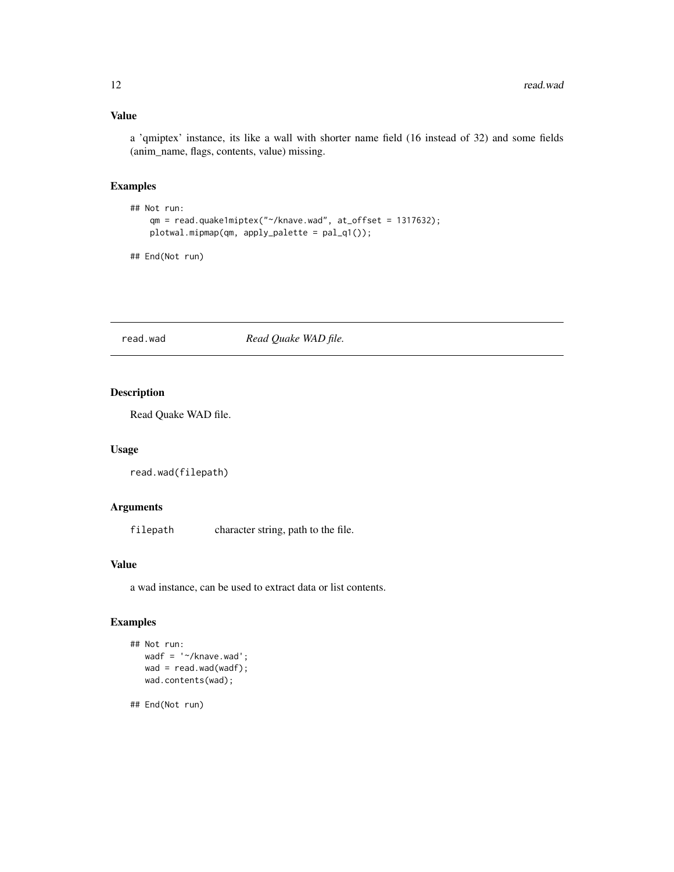### <span id="page-11-0"></span>Value

a 'qmiptex' instance, its like a wall with shorter name field (16 instead of 32) and some fields (anim\_name, flags, contents, value) missing.

#### Examples

```
## Not run:
   qm = read.quake1miptex("~/knave.wad", at_offset = 1317632);
   plotwal.mipmap(qm, apply_palette = pal_q1());
```
## End(Not run)

### read.wad *Read Quake WAD file.*

#### Description

Read Quake WAD file.

### Usage

```
read.wad(filepath)
```
### Arguments

filepath character string, path to the file.

### Value

a wad instance, can be used to extract data or list contents.

#### Examples

```
## Not run:
  wadf = '~/knave.wad';
  wad = read.wad(wadf);wad.contents(wad);
```
## End(Not run)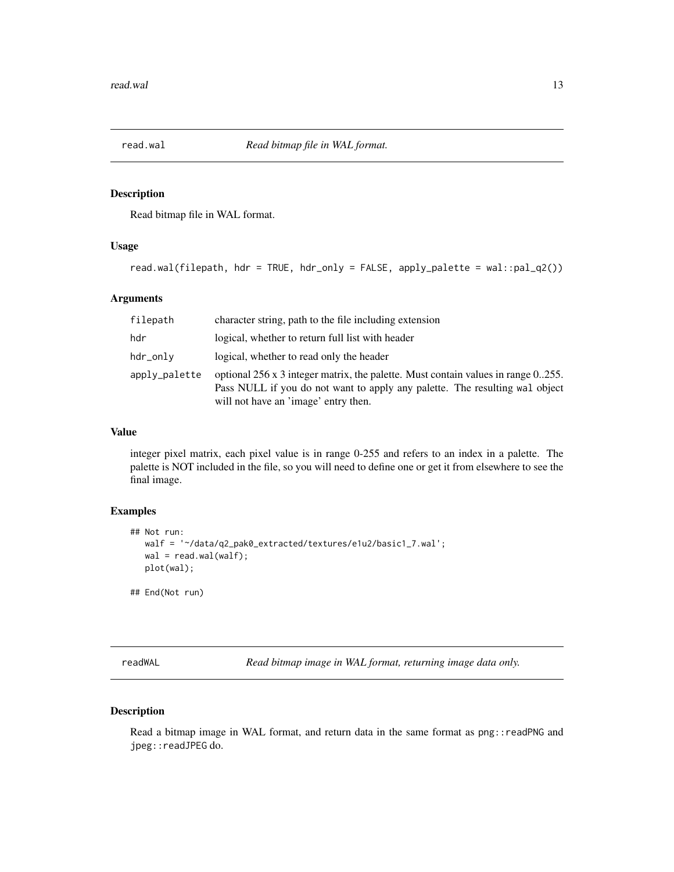<span id="page-12-0"></span>

Read bitmap file in WAL format.

### Usage

```
read.wal(filepath, hdr = TRUE, hdr_only = FALSE, apply_palette = wal::pal_q2())
```
### Arguments

| filepath      | character string, path to the file including extension                                                                                                                                                  |
|---------------|---------------------------------------------------------------------------------------------------------------------------------------------------------------------------------------------------------|
| hdr           | logical, whether to return full list with header                                                                                                                                                        |
| hdr_only      | logical, whether to read only the header                                                                                                                                                                |
| apply_palette | optional 256 x 3 integer matrix, the palette. Must contain values in range 0255.<br>Pass NULL if you do not want to apply any palette. The resulting wal object<br>will not have an 'image' entry then. |

#### Value

integer pixel matrix, each pixel value is in range 0-255 and refers to an index in a palette. The palette is NOT included in the file, so you will need to define one or get it from elsewhere to see the final image.

### Examples

```
## Not run:
  walf = '~/data/q2_pak0_extracted/textures/e1u2/basic1_7.wal';
  wal = read.wal(walf);
  plot(wal);
## End(Not run)
```
readWAL *Read bitmap image in WAL format, returning image data only.*

### Description

Read a bitmap image in WAL format, and return data in the same format as png:: readPNG and jpeg::readJPEG do.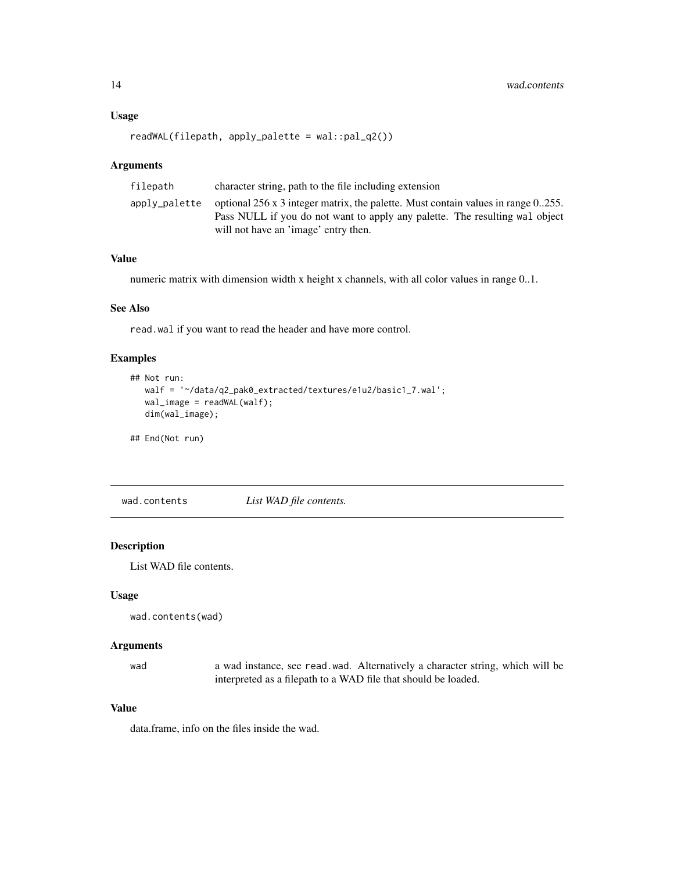#### <span id="page-13-0"></span>Usage

```
readWAL(filepath, apply_palette = wal::pal_q2())
```
#### Arguments

| filepath      | character string, path to the file including extension                                  |
|---------------|-----------------------------------------------------------------------------------------|
| apply_palette | optional $256 \times 3$ integer matrix, the palette. Must contain values in range 0255. |
|               | Pass NULL if you do not want to apply any palette. The resulting wall object            |
|               | will not have an 'image' entry then.                                                    |

### Value

numeric matrix with dimension width x height x channels, with all color values in range 0..1.

#### See Also

read.wal if you want to read the header and have more control.

### Examples

```
## Not run:
  walf = '~/data/q2_pak0_extracted/textures/e1u2/basic1_7.wal';
  wal_image = readWAL(walf);
  dim(wal_image);
```
## End(Not run)

wad.contents *List WAD file contents.*

### Description

List WAD file contents.

#### Usage

wad.contents(wad)

#### Arguments

wad a wad instance, see read.wad. Alternatively a character string, which will be interpreted as a filepath to a WAD file that should be loaded.

### Value

data.frame, info on the files inside the wad.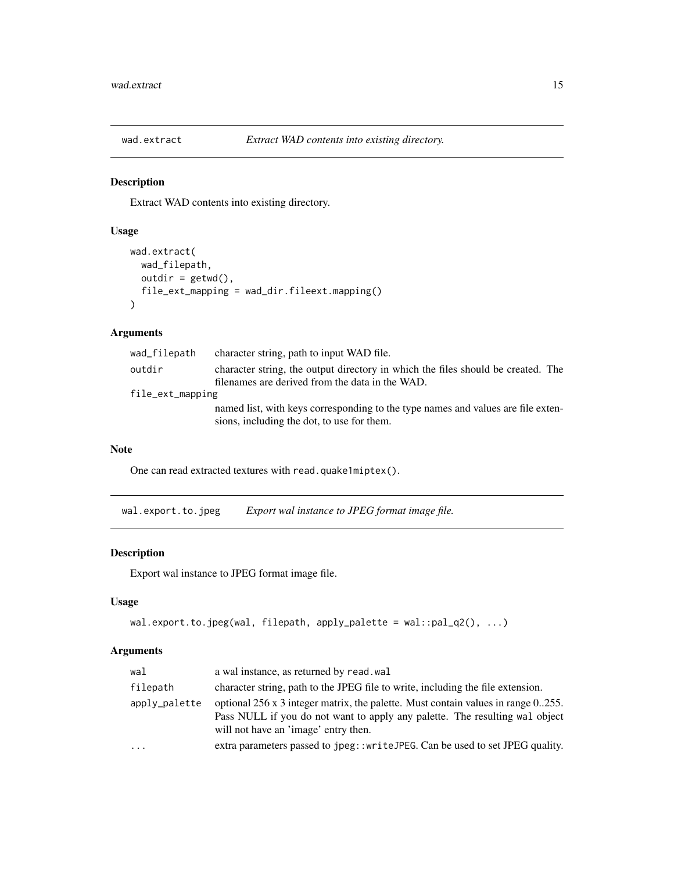<span id="page-14-0"></span>

Extract WAD contents into existing directory.

### Usage

```
wad.extract(
 wad_filepath,
 outdir = getwd(),
  file_ext_mapping = wad_dir.fileext.mapping()
\lambda
```
### Arguments

| wad_filepath     | character string, path to input WAD file.                                        |
|------------------|----------------------------------------------------------------------------------|
| outdir           | character string, the output directory in which the files should be created. The |
|                  | filenames are derived from the data in the WAD.                                  |
| file_ext_mapping |                                                                                  |
|                  | named list, with keys corresponding to the type names and values are file exten- |
|                  | sions, including the dot, to use for them.                                       |

### Note

One can read extracted textures with read.quake1miptex().

wal.export.to.jpeg *Export wal instance to JPEG format image file.*

### Description

Export wal instance to JPEG format image file.

#### Usage

```
wal.export.to.jpeg(wal, filepath, apply_palette = wal::pal_q2(), ...)
```

| wal           | a wal instance, as returned by read. wal                                                                                                                                                                        |
|---------------|-----------------------------------------------------------------------------------------------------------------------------------------------------------------------------------------------------------------|
| filepath      | character string, path to the JPEG file to write, including the file extension.                                                                                                                                 |
| apply_palette | optional $256 \times 3$ integer matrix, the palette. Must contain values in range 0255.<br>Pass NULL if you do not want to apply any palette. The resulting wall object<br>will not have an 'image' entry then. |
| $\cdot$       | extra parameters passed to jpeg::writeJPEG. Can be used to set JPEG quality.                                                                                                                                    |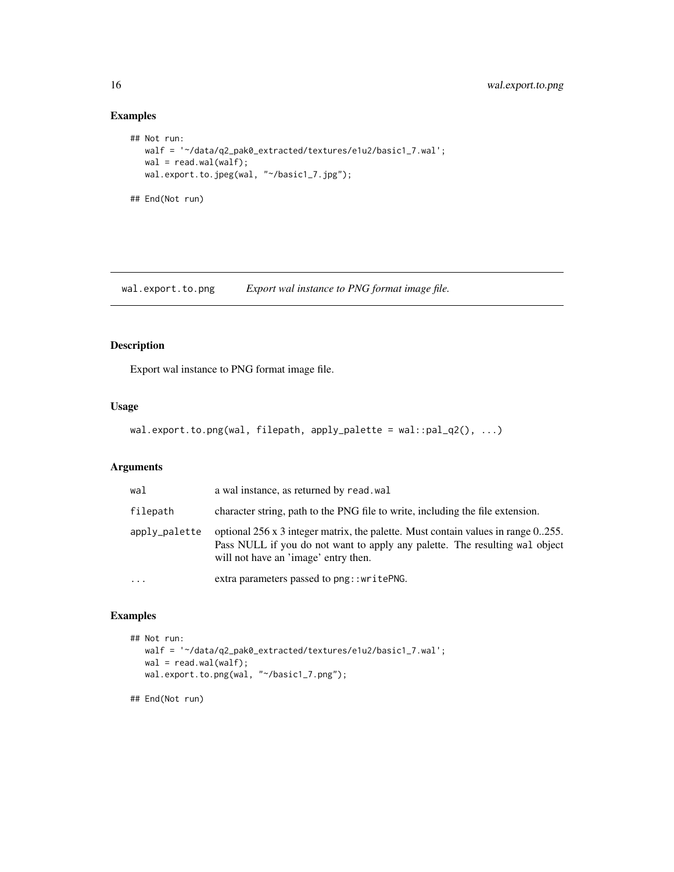### Examples

```
## Not run:
  walf = '~/data/q2_pak0_extracted/textures/e1u2/basic1_7.wal';
  wal = read.walk(walf);wal.export.to.jpeg(wal, "~/basic1_7.jpg");
## End(Not run)
```
wal.export.to.png *Export wal instance to PNG format image file.*

### Description

Export wal instance to PNG format image file.

### Usage

```
wal.export.to.png(wal, filepath, apply_palette = wal::pal_q2(), ...)
```
### Arguments

| wal           | a wal instance, as returned by read, wal                                                                                                                                                                 |
|---------------|----------------------------------------------------------------------------------------------------------------------------------------------------------------------------------------------------------|
| filepath      | character string, path to the PNG file to write, including the file extension.                                                                                                                           |
| apply_palette | optional 256 x 3 integer matrix, the palette. Must contain values in range 0.255.<br>Pass NULL if you do not want to apply any palette. The resulting wal object<br>will not have an 'image' entry then. |
| $\cdots$      | extra parameters passed to png::writePNG.                                                                                                                                                                |

### Examples

```
## Not run:
  walf = '~/data/q2_pak0_extracted/textures/e1u2/basic1_7.wal';
  wal = read.walk(walf);wal.export.to.png(wal, "~/basic1_7.png");
```
## End(Not run)

<span id="page-15-0"></span>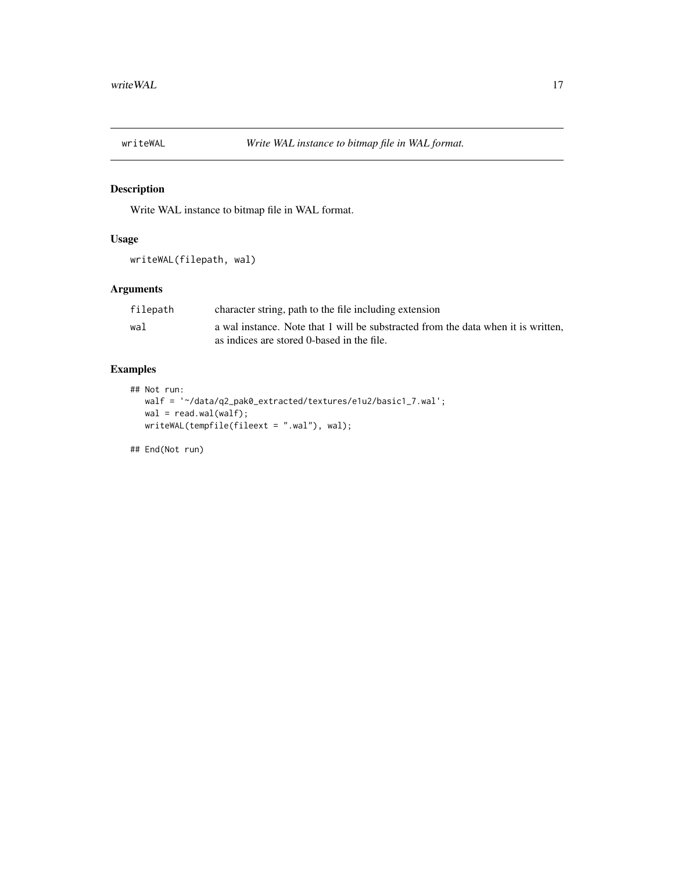<span id="page-16-0"></span>

Write WAL instance to bitmap file in WAL format.

### Usage

```
writeWAL(filepath, wal)
```
### Arguments

| filepath | character string, path to the file including extension                            |
|----------|-----------------------------------------------------------------------------------|
| wal      | a wal instance. Note that 1 will be substracted from the data when it is written. |
|          | as indices are stored 0-based in the file.                                        |

### Examples

```
## Not run:
  walf = '~/data/q2_pak0_extracted/textures/e1u2/basic1_7.wal';
  wal = read.wal(walf);
  writeWAL(tempfile(fileext = ".wal"), wal);
```
## End(Not run)